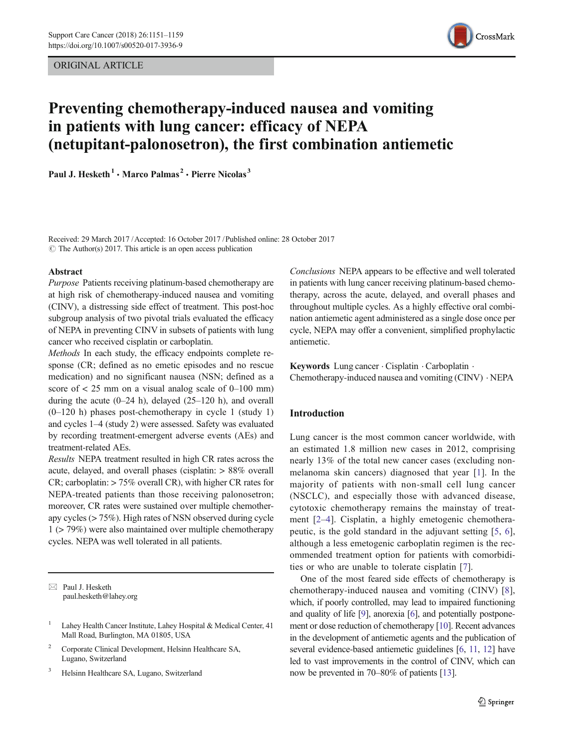ORIGINAL ARTICLE



# Preventing chemotherapy-induced nausea and vomiting in patients with lung cancer: efficacy of NEPA (netupitant-palonosetron), the first combination antiemetic

Paul J. Hesketh<sup>1</sup>  $\cdot$  Marco Palmas<sup>2</sup>  $\cdot$  Pierre Nicolas<sup>3</sup>

Received: 29 March 2017 /Accepted: 16 October 2017 /Published online: 28 October 2017  $\circ$  The Author(s) 2017. This article is an open access publication

#### Abstract

Purpose Patients receiving platinum-based chemotherapy are at high risk of chemotherapy-induced nausea and vomiting (CINV), a distressing side effect of treatment. This post-hoc subgroup analysis of two pivotal trials evaluated the efficacy of NEPA in preventing CINV in subsets of patients with lung cancer who received cisplatin or carboplatin.

Methods In each study, the efficacy endpoints complete response (CR; defined as no emetic episodes and no rescue medication) and no significant nausea (NSN; defined as a score of  $\lt$  25 mm on a visual analog scale of 0–100 mm) during the acute  $(0-24 h)$ , delayed  $(25-120 h)$ , and overall (0–120 h) phases post-chemotherapy in cycle 1 (study 1) and cycles 1–4 (study 2) were assessed. Safety was evaluated by recording treatment-emergent adverse events (AEs) and treatment-related AEs.

Results NEPA treatment resulted in high CR rates across the acute, delayed, and overall phases (cisplatin: > 88% overall CR; carboplatin: > 75% overall CR), with higher CR rates for NEPA-treated patients than those receiving palonosetron; moreover, CR rates were sustained over multiple chemotherapy cycles (> 75%). High rates of NSN observed during cycle 1 (> 79%) were also maintained over multiple chemotherapy cycles. NEPA was well tolerated in all patients.

 $\boxtimes$  Paul J. Hesketh [paul.hesketh@lahey.org](mailto:paul.hesketh@lahey.org)

Conclusions NEPA appears to be effective and well tolerated in patients with lung cancer receiving platinum-based chemotherapy, across the acute, delayed, and overall phases and throughout multiple cycles. As a highly effective oral combination antiemetic agent administered as a single dose once per cycle, NEPA may offer a convenient, simplified prophylactic antiemetic.

Keywords Lung cancer · Cisplatin · Carboplatin · Chemotherapy-induced nausea and vomiting (CINV) . NEPA

## Introduction

Lung cancer is the most common cancer worldwide, with an estimated 1.8 million new cases in 2012, comprising nearly 13% of the total new cancer cases (excluding nonmelanoma skin cancers) diagnosed that year [\[1\]](#page-7-0). In the majority of patients with non-small cell lung cancer (NSCLC), and especially those with advanced disease, cytotoxic chemotherapy remains the mainstay of treatment [\[2](#page-7-0)–[4](#page-8-0)]. Cisplatin, a highly emetogenic chemotherapeutic, is the gold standard in the adjuvant setting [\[5](#page-8-0), [6](#page-8-0)], although a less emetogenic carboplatin regimen is the recommended treatment option for patients with comorbidities or who are unable to tolerate cisplatin [[7\]](#page-8-0).

One of the most feared side effects of chemotherapy is chemotherapy-induced nausea and vomiting (CINV) [\[8](#page-8-0)], which, if poorly controlled, may lead to impaired functioning and quality of life [\[9](#page-8-0)], anorexia [\[6](#page-8-0)], and potentially postponement or dose reduction of chemotherapy [[10](#page-8-0)]. Recent advances in the development of antiemetic agents and the publication of several evidence-based antiemetic guidelines [\[6,](#page-8-0) [11,](#page-8-0) [12\]](#page-8-0) have led to vast improvements in the control of CINV, which can now be prevented in 70–80% of patients [[13](#page-8-0)].

Lahey Health Cancer Institute, Lahey Hospital & Medical Center, 41 Mall Road, Burlington, MA 01805, USA

<sup>&</sup>lt;sup>2</sup> Corporate Clinical Development, Helsinn Healthcare SA, Lugano, Switzerland

<sup>&</sup>lt;sup>3</sup> Helsinn Healthcare SA, Lugano, Switzerland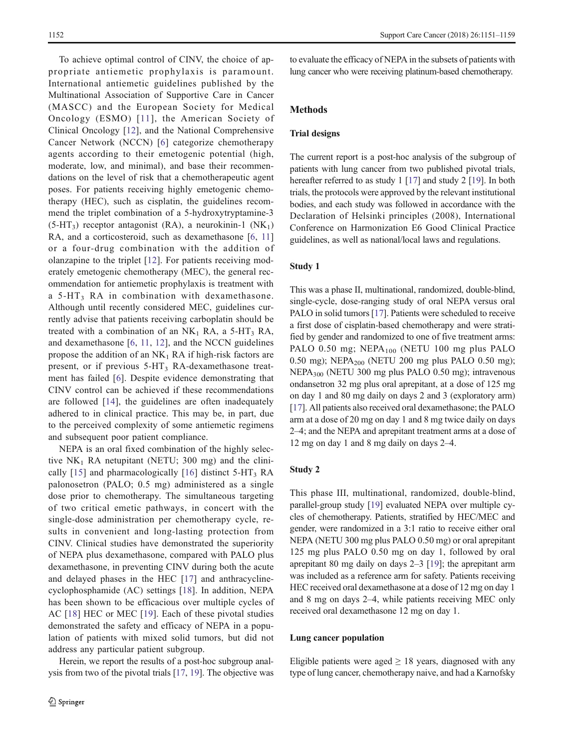To achieve optimal control of CINV, the choice of appropriate antiemetic prophylaxis is paramount. International antiemetic guidelines published by the Multinational Association of Supportive Care in Cancer (MASCC) and the European Society for Medical Oncology (ESMO) [[11](#page-8-0)], the American Society of Clinical Oncology [[12\]](#page-8-0), and the National Comprehensive Cancer Network (NCCN) [[6\]](#page-8-0) categorize chemotherapy agents according to their emetogenic potential (high, moderate, low, and minimal), and base their recommendations on the level of risk that a chemotherapeutic agent poses. For patients receiving highly emetogenic chemotherapy (HEC), such as cisplatin, the guidelines recommend the triplet combination of a 5-hydroxytryptamine-3  $(5-HT_3)$  receptor antagonist (RA), a neurokinin-1 (NK<sub>1</sub>) RA, and a corticosteroid, such as dexamethasone [[6,](#page-8-0) [11\]](#page-8-0) or a four-drug combination with the addition of olanzapine to the triplet [[12\]](#page-8-0). For patients receiving moderately emetogenic chemotherapy (MEC), the general recommendation for antiemetic prophylaxis is treatment with a  $5-HT<sub>3</sub>$  RA in combination with dexamethasone. Although until recently considered MEC, guidelines currently advise that patients receiving carboplatin should be treated with a combination of an  $NK_1$  RA, a 5-HT<sub>3</sub> RA, and dexamethasone [[6,](#page-8-0) [11](#page-8-0), [12](#page-8-0)], and the NCCN guidelines propose the addition of an  $NK_1$  RA if high-risk factors are present, or if previous  $5-HT_3$  RA-dexamethasone treatment has failed [[6\]](#page-8-0). Despite evidence demonstrating that CINV control can be achieved if these recommendations are followed [[14\]](#page-8-0), the guidelines are often inadequately adhered to in clinical practice. This may be, in part, due to the perceived complexity of some antiemetic regimens and subsequent poor patient compliance.

NEPA is an oral fixed combination of the highly selective  $NK_1$  RA netupitant (NETU; 300 mg) and the clinically  $[15]$  $[15]$  and pharmacologically  $[16]$  $[16]$  distinct 5-HT<sub>3</sub> RA palonosetron (PALO; 0.5 mg) administered as a single dose prior to chemotherapy. The simultaneous targeting of two critical emetic pathways, in concert with the single-dose administration per chemotherapy cycle, results in convenient and long-lasting protection from CINV. Clinical studies have demonstrated the superiority of NEPA plus dexamethasone, compared with PALO plus dexamethasone, in preventing CINV during both the acute and delayed phases in the HEC [\[17\]](#page-8-0) and anthracyclinecyclophosphamide (AC) settings [[18\]](#page-8-0). In addition, NEPA has been shown to be efficacious over multiple cycles of AC [[18\]](#page-8-0) HEC or MEC [[19\]](#page-8-0). Each of these pivotal studies demonstrated the safety and efficacy of NEPA in a population of patients with mixed solid tumors, but did not address any particular patient subgroup.

Herein, we report the results of a post-hoc subgroup analysis from two of the pivotal trials [[17,](#page-8-0) [19](#page-8-0)]. The objective was to evaluate the efficacy of NEPA in the subsets of patients with lung cancer who were receiving platinum-based chemotherapy.

## Methods

## Trial designs

The current report is a post-hoc analysis of the subgroup of patients with lung cancer from two published pivotal trials, hereafter referred to as study 1 [\[17\]](#page-8-0) and study 2 [\[19\]](#page-8-0). In both trials, the protocols were approved by the relevant institutional bodies, and each study was followed in accordance with the Declaration of Helsinki principles (2008), International Conference on Harmonization E6 Good Clinical Practice guidelines, as well as national/local laws and regulations.

#### Study 1

This was a phase II, multinational, randomized, double-blind, single-cycle, dose-ranging study of oral NEPA versus oral PALO in solid tumors [\[17](#page-8-0)]. Patients were scheduled to receive a first dose of cisplatin-based chemotherapy and were stratified by gender and randomized to one of five treatment arms: PALO 0.50 mg; NEPA<sub>100</sub> (NETU 100 mg plus PALO 0.50 mg); NEPA<sub>200</sub> (NETU 200 mg plus PALO 0.50 mg); NEPA300 (NETU 300 mg plus PALO 0.50 mg); intravenous ondansetron 32 mg plus oral aprepitant, at a dose of 125 mg on day 1 and 80 mg daily on days 2 and 3 (exploratory arm) [\[17](#page-8-0)]. All patients also received oral dexamethasone; the PALO arm at a dose of 20 mg on day 1 and 8 mg twice daily on days 2–4; and the NEPA and aprepitant treatment arms at a dose of 12 mg on day 1 and 8 mg daily on days 2–4.

# Study 2

This phase III, multinational, randomized, double-blind, parallel-group study [\[19](#page-8-0)] evaluated NEPA over multiple cycles of chemotherapy. Patients, stratified by HEC/MEC and gender, were randomized in a 3:1 ratio to receive either oral NEPA (NETU 300 mg plus PALO 0.50 mg) or oral aprepitant 125 mg plus PALO 0.50 mg on day 1, followed by oral aprepitant 80 mg daily on days 2–3 [[19\]](#page-8-0); the aprepitant arm was included as a reference arm for safety. Patients receiving HEC received oral dexamethasone at a dose of 12 mg on day 1 and 8 mg on days 2–4, while patients receiving MEC only received oral dexamethasone 12 mg on day 1.

#### Lung cancer population

Eligible patients were aged  $\geq 18$  years, diagnosed with any type of lung cancer, chemotherapy naive, and had a Karnofsky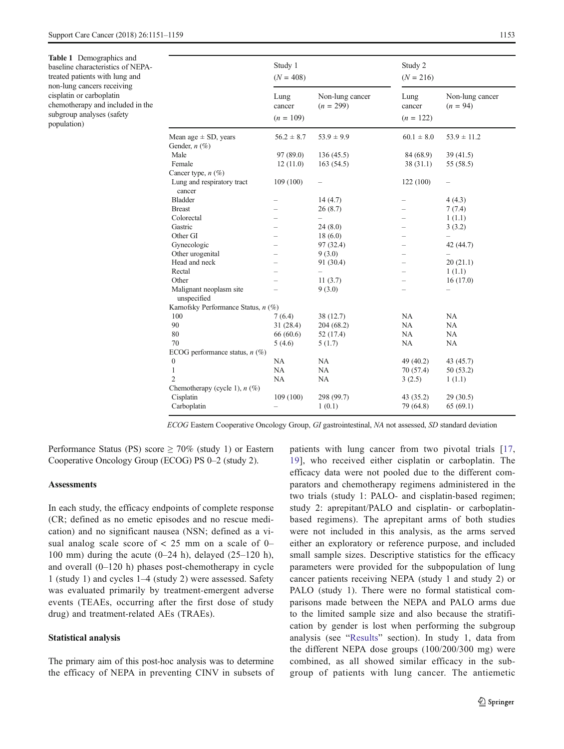<span id="page-2-0"></span>Table 1 Demographics and baseline characteristics of NEPAtreated patients with lung and non-lung cancers receiving cisplatin or carboplatin chemotherapy and included in the subgroup analyses (safety population) Study 1  $(N = 408)$ Lung cancer  $(n = 109)$ 

|                                             | Study 1<br>$(N = 408)$        |                                | Study 2<br>$(N = 216)$        |                               |  |
|---------------------------------------------|-------------------------------|--------------------------------|-------------------------------|-------------------------------|--|
|                                             | Lung<br>cancer<br>$(n = 109)$ | Non-lung cancer<br>$(n = 299)$ | Lung<br>cancer<br>$(n = 122)$ | Non-lung cancer<br>$(n = 94)$ |  |
| Mean age $\pm$ SD, years<br>Gender, $n$ (%) | $56.2 \pm 8.7$                | $53.9 \pm 9.9$                 | $60.1 \pm 8.0$                | $53.9 \pm 11.2$               |  |
| Male                                        | 97 (89.0)                     | 136(45.5)                      | 84 (68.9)                     | 39(41.5)                      |  |
| Female                                      | 12(11.0)                      | 163(54.5)                      | 38 (31.1)                     | 55 (58.5)                     |  |
| Cancer type, $n$ (%)                        |                               |                                |                               |                               |  |
| Lung and respiratory tract<br>cancer        | 109 (100)                     |                                | 122 (100)                     |                               |  |
| <b>Bladder</b>                              |                               | 14(4.7)                        |                               | 4(4.3)                        |  |
| <b>Breast</b>                               |                               | 26(8.7)                        |                               | 7(7.4)                        |  |
| Colorectal                                  |                               |                                |                               | 1(1.1)                        |  |
| Gastric                                     |                               | 24(8.0)                        |                               | 3(3.2)                        |  |
| Other GI                                    |                               | 18(6.0)                        |                               |                               |  |
| Gynecologic                                 |                               | 97 (32.4)                      |                               | 42 (44.7)                     |  |
| Other urogenital                            |                               | 9(3.0)                         |                               |                               |  |
| Head and neck                               |                               | 91 (30.4)                      |                               | 20(21.1)                      |  |
| Rectal                                      |                               | $\overline{\phantom{0}}$       |                               | 1(1.1)                        |  |
| Other                                       |                               | 11(3.7)                        |                               | 16(17.0)                      |  |
| Malignant neoplasm site<br>unspecified      |                               | 9(3.0)                         |                               |                               |  |
| Karnofsky Performance Status, n (%)         |                               |                                |                               |                               |  |
| 100                                         | 7(6.4)                        | 38 (12.7)                      | NA                            | NA                            |  |
| 90                                          | 31 (28.4)                     | 204 (68.2)                     | NA                            | NA                            |  |
| 80                                          | 66 (60.6)                     | 52 (17.4)                      | NA                            | NA                            |  |
| 70                                          | 5(4.6)                        | 5(1.7)                         | <b>NA</b>                     | NA                            |  |
| ECOG performance status, $n$ (%)            |                               |                                |                               |                               |  |
| $\boldsymbol{0}$                            | <b>NA</b>                     | <b>NA</b>                      | 49 (40.2)                     | 43 (45.7)                     |  |
| $\mathbf{1}$                                | <b>NA</b>                     | NA                             | 70(57.4)                      | 50 (53.2)                     |  |
| $\overline{2}$                              | <b>NA</b>                     | NA                             | 3(2.5)                        | 1(1.1)                        |  |
| Chemotherapy (cycle 1), n (%)               |                               |                                |                               |                               |  |
| Cisplatin                                   | 109 (100)                     | 298 (99.7)                     | 43 (35.2)                     | 29(30.5)                      |  |
| Carboplatin                                 |                               | 1(0.1)                         | 79 (64.8)                     | 65(69.1)                      |  |

ECOG Eastern Cooperative Oncology Group, GI gastrointestinal, NA not assessed, SD standard deviation

Performance Status (PS) score  $\geq 70\%$  (study 1) or Eastern Cooperative Oncology Group (ECOG) PS 0–2 (study 2).

# **Assessments**

In each study, the efficacy endpoints of complete response (CR; defined as no emetic episodes and no rescue medication) and no significant nausea (NSN; defined as a visual analog scale score of  $\lt$  25 mm on a scale of 0– 100 mm) during the acute  $(0-24 h)$ , delayed  $(25-120 h)$ , and overall (0–120 h) phases post-chemotherapy in cycle 1 (study 1) and cycles 1–4 (study 2) were assessed. Safety was evaluated primarily by treatment-emergent adverse events (TEAEs, occurring after the first dose of study drug) and treatment-related AEs (TRAEs).

#### Statistical analysis

The primary aim of this post-hoc analysis was to determine the efficacy of NEPA in preventing CINV in subsets of patients with lung cancer from two pivotal trials [\[17,](#page-8-0) [19](#page-8-0)], who received either cisplatin or carboplatin. The efficacy data were not pooled due to the different comparators and chemotherapy regimens administered in the two trials (study 1: PALO- and cisplatin-based regimen; study 2: aprepitant/PALO and cisplatin- or carboplatinbased regimens). The aprepitant arms of both studies were not included in this analysis, as the arms served either an exploratory or reference purpose, and included small sample sizes. Descriptive statistics for the efficacy parameters were provided for the subpopulation of lung cancer patients receiving NEPA (study 1 and study 2) or PALO (study 1). There were no formal statistical comparisons made between the NEPA and PALO arms due to the limited sample size and also because the stratification by gender is lost when performing the subgroup analysis (see "[Results](#page-3-0)" section). In study 1, data from the different NEPA dose groups (100/200/300 mg) were combined, as all showed similar efficacy in the subgroup of patients with lung cancer. The antiemetic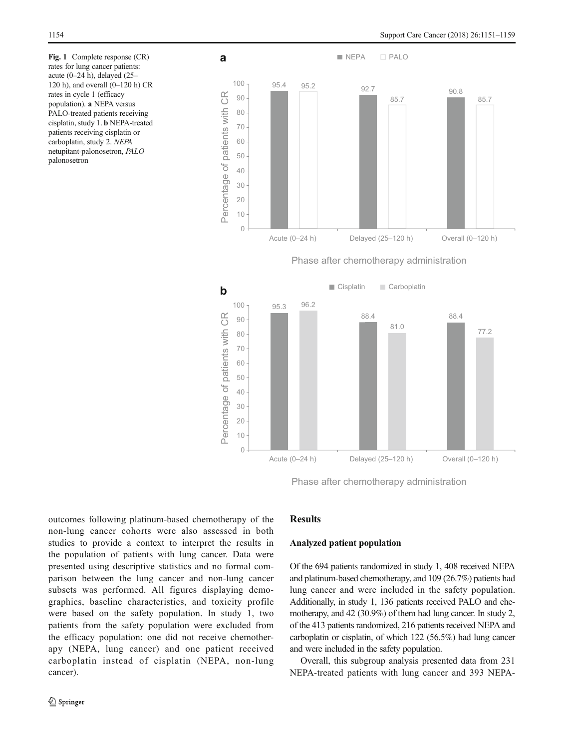<span id="page-3-0"></span>Fig. 1 Complete response (CR) rates for lung cancer patients: acute (0–24 h), delayed (25– 120 h), and overall (0–120 h) CR rates in cycle 1 (efficacy population). a NEPA versus PALO-treated patients receiving cisplatin, study 1. b NEPA-treated patients receiving cisplatin or carboplatin, study 2. NEPA netupitant-palonosetron, PALO palonosetron



Phase after chemotherapy administration



Phase after chemotherapy administration

outcomes following platinum-based chemotherapy of the non-lung cancer cohorts were also assessed in both studies to provide a context to interpret the results in the population of patients with lung cancer. Data were presented using descriptive statistics and no formal comparison between the lung cancer and non-lung cancer subsets was performed. All figures displaying demographics, baseline characteristics, and toxicity profile were based on the safety population. In study 1, two patients from the safety population were excluded from the efficacy population: one did not receive chemotherapy (NEPA, lung cancer) and one patient received carboplatin instead of cisplatin (NEPA, non-lung cancer).

# Results

#### Analyzed patient population

Of the 694 patients randomized in study 1, 408 received NEPA and platinum-based chemotherapy, and 109 (26.7%) patients had lung cancer and were included in the safety population. Additionally, in study 1, 136 patients received PALO and chemotherapy, and 42 (30.9%) of them had lung cancer. In study 2, of the 413 patients randomized, 216 patients received NEPA and carboplatin or cisplatin, of which 122 (56.5%) had lung cancer and were included in the safety population.

Overall, this subgroup analysis presented data from 231 NEPA-treated patients with lung cancer and 393 NEPA-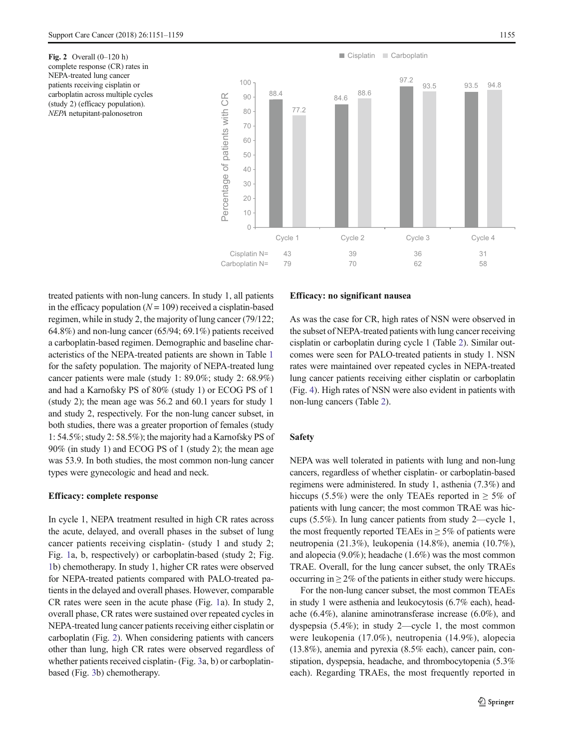Fig. 2 Overall  $(0-120 h)$ complete response (CR) rates in NEPA-treated lung cancer patients receiving cisplatin or carboplatin across multiple cycles (study 2) (efficacy population). NEPA netupitant-palonosetron



treated patients with non-lung cancers. In study 1, all patients in the efficacy population  $(N = 109)$  received a cisplatin-based regimen, while in study 2, the majority of lung cancer (79/122; 64.8%) and non-lung cancer (65/94; 69.1%) patients received a carboplatin-based regimen. Demographic and baseline characteristics of the NEPA-treated patients are shown in Table [1](#page-2-0) for the safety population. The majority of NEPA-treated lung cancer patients were male (study 1: 89.0%; study 2: 68.9%) and had a Karnofsky PS of 80% (study 1) or ECOG PS of 1 (study 2); the mean age was 56.2 and 60.1 years for study 1 and study 2, respectively. For the non-lung cancer subset, in both studies, there was a greater proportion of females (study 1: 54.5%; study 2: 58.5%); the majority had a Karnofsky PS of 90% (in study 1) and ECOG PS of 1 (study 2); the mean age was 53.9. In both studies, the most common non-lung cancer types were gynecologic and head and neck.

#### Efficacy: complete response

In cycle 1, NEPA treatment resulted in high CR rates across the acute, delayed, and overall phases in the subset of lung cancer patients receiving cisplatin- (study 1 and study 2; Fig. [1](#page-3-0)a, b, respectively) or carboplatin-based (study 2; Fig. [1b](#page-3-0)) chemotherapy. In study 1, higher CR rates were observed for NEPA-treated patients compared with PALO-treated patients in the delayed and overall phases. However, comparable CR rates were seen in the acute phase (Fig. [1a](#page-3-0)). In study 2, overall phase, CR rates were sustained over repeated cycles in NEPA-treated lung cancer patients receiving either cisplatin or carboplatin (Fig. 2). When considering patients with cancers other than lung, high CR rates were observed regardless of whether patients received cisplatin- (Fig. [3a](#page-5-0), b) or carboplatinbased (Fig. [3b](#page-5-0)) chemotherapy.

#### Efficacy: no significant nausea

As was the case for CR, high rates of NSN were observed in the subset of NEPA-treated patients with lung cancer receiving cisplatin or carboplatin during cycle 1 (Table [2](#page-6-0)). Similar outcomes were seen for PALO-treated patients in study 1. NSN rates were maintained over repeated cycles in NEPA-treated lung cancer patients receiving either cisplatin or carboplatin (Fig. [4\)](#page-6-0). High rates of NSN were also evident in patients with non-lung cancers (Table [2](#page-6-0)).

#### Safety

NEPA was well tolerated in patients with lung and non-lung cancers, regardless of whether cisplatin- or carboplatin-based regimens were administered. In study 1, asthenia (7.3%) and hiccups (5.5%) were the only TEAEs reported in  $\geq$  5% of patients with lung cancer; the most common TRAE was hiccups (5.5%). In lung cancer patients from study 2—cycle 1, the most frequently reported TEAEs in  $\geq$  5% of patients were neutropenia (21.3%), leukopenia (14.8%), anemia (10.7%), and alopecia (9.0%); headache (1.6%) was the most common TRAE. Overall, for the lung cancer subset, the only TRAEs occurring in  $\geq$  2% of the patients in either study were hiccups.

For the non-lung cancer subset, the most common TEAEs in study 1 were asthenia and leukocytosis (6.7% each), headache (6.4%), alanine aminotransferase increase (6.0%), and dyspepsia (5.4%); in study 2—cycle 1, the most common were leukopenia (17.0%), neutropenia (14.9%), alopecia (13.8%), anemia and pyrexia (8.5% each), cancer pain, constipation, dyspepsia, headache, and thrombocytopenia (5.3% each). Regarding TRAEs, the most frequently reported in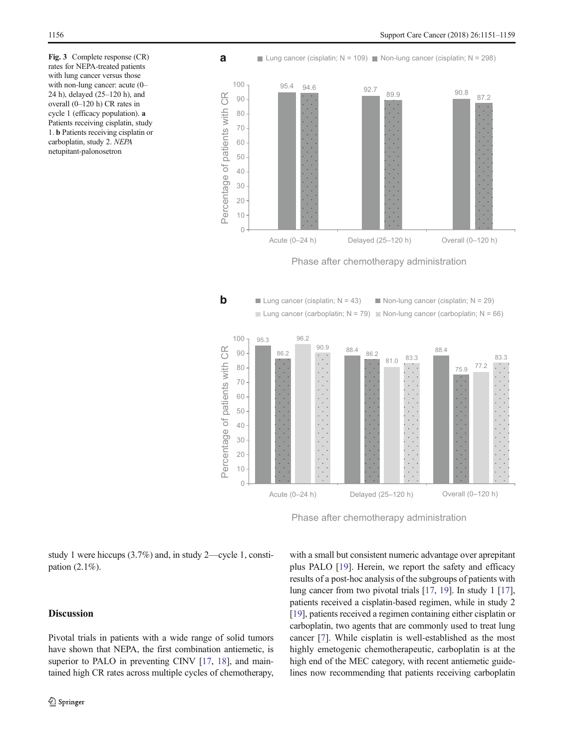<span id="page-5-0"></span>Fig. 3 Complete response (CR) rates for NEPA-treated patients with lung cancer versus those with non-lung cancer: acute (0– 24 h), delayed (25–120 h), and overall (0–120 h) CR rates in cycle 1 (efficacy population). a Patients receiving cisplatin, study 1. b Patients receiving cisplatin or carboplatin, study 2. NEPA netupitant-palonosetron



Phase after chemotherapy administration



Phase after chemotherapy administration

study 1 were hiccups (3.7%) and, in study 2—cycle 1, constipation (2.1%).

# Discussion

Pivotal trials in patients with a wide range of solid tumors have shown that NEPA, the first combination antiemetic, is superior to PALO in preventing CINV [[17](#page-8-0), [18](#page-8-0)], and maintained high CR rates across multiple cycles of chemotherapy, with a small but consistent numeric advantage over aprepitant plus PALO [\[19](#page-8-0)]. Herein, we report the safety and efficacy results of a post-hoc analysis of the subgroups of patients with lung cancer from two pivotal trials [\[17,](#page-8-0) [19](#page-8-0)]. In study 1 [[17\]](#page-8-0), patients received a cisplatin-based regimen, while in study 2 [\[19](#page-8-0)], patients received a regimen containing either cisplatin or carboplatin, two agents that are commonly used to treat lung cancer [[7\]](#page-8-0). While cisplatin is well-established as the most highly emetogenic chemotherapeutic, carboplatin is at the high end of the MEC category, with recent antiemetic guidelines now recommending that patients receiving carboplatin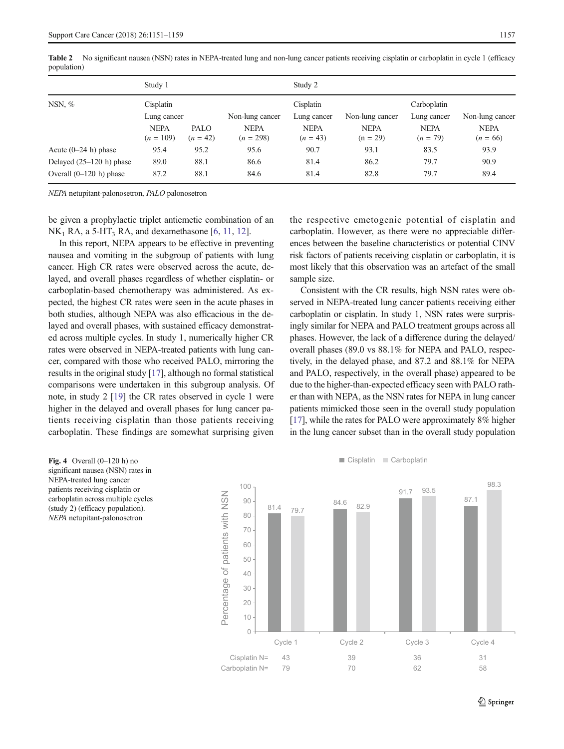|                             | Study 1     |            |                 | Study 2     |                 |             |                 |
|-----------------------------|-------------|------------|-----------------|-------------|-----------------|-------------|-----------------|
| NSN, %                      | Cisplatin   |            |                 | Cisplatin   |                 | Carboplatin |                 |
|                             | Lung cancer |            | Non-lung cancer | Lung cancer | Non-lung cancer | Lung cancer | Non-lung cancer |
|                             | <b>NEPA</b> | PALO       | <b>NEPA</b>     | <b>NEPA</b> | <b>NEPA</b>     | <b>NEPA</b> | <b>NEPA</b>     |
|                             | $(n = 109)$ | $(n = 42)$ | $(n = 298)$     | $(n = 43)$  | $(n = 29)$      | $(n = 79)$  | $(n = 66)$      |
| Acute $(0-24)$ h) phase     | 95.4        | 95.2       | 95.6            | 90.7        | 93.1            | 83.5        | 93.9            |
| Delayed $(25-120)$ h) phase | 89.0        | 88.1       | 86.6            | 81.4        | 86.2            | 79.7        | 90.9            |
| Overall $(0-120$ h) phase   | 87.2        | 88.1       | 84.6            | 81.4        | 82.8            | 79.7        | 89.4            |

<span id="page-6-0"></span>Table 2 No significant nausea (NSN) rates in NEPA-treated lung and non-lung cancer patients receiving cisplatin or carboplatin in cycle 1 (efficacy population)

NEPA netupitant-palonosetron, PALO palonosetron

be given a prophylactic triplet antiemetic combination of an  $NK<sub>1</sub> RA$ , a 5-HT<sub>3</sub> RA, and dexamethasone [[6](#page-8-0), [11,](#page-8-0) [12\]](#page-8-0).

In this report, NEPA appears to be effective in preventing nausea and vomiting in the subgroup of patients with lung cancer. High CR rates were observed across the acute, delayed, and overall phases regardless of whether cisplatin- or carboplatin-based chemotherapy was administered. As expected, the highest CR rates were seen in the acute phases in both studies, although NEPA was also efficacious in the delayed and overall phases, with sustained efficacy demonstrated across multiple cycles. In study 1, numerically higher CR rates were observed in NEPA-treated patients with lung cancer, compared with those who received PALO, mirroring the results in the original study [[17\]](#page-8-0), although no formal statistical comparisons were undertaken in this subgroup analysis. Of note, in study 2 [\[19\]](#page-8-0) the CR rates observed in cycle 1 were higher in the delayed and overall phases for lung cancer patients receiving cisplatin than those patients receiving carboplatin. These findings are somewhat surprising given

the respective emetogenic potential of cisplatin and carboplatin. However, as there were no appreciable differences between the baseline characteristics or potential CINV risk factors of patients receiving cisplatin or carboplatin, it is most likely that this observation was an artefact of the small sample size.

Consistent with the CR results, high NSN rates were observed in NEPA-treated lung cancer patients receiving either carboplatin or cisplatin. In study 1, NSN rates were surprisingly similar for NEPA and PALO treatment groups across all phases. However, the lack of a difference during the delayed/ overall phases (89.0 vs 88.1% for NEPA and PALO, respectively, in the delayed phase, and 87.2 and 88.1% for NEPA and PALO, respectively, in the overall phase) appeared to be due to the higher-than-expected efficacy seen with PALO rather than with NEPA, as the NSN rates for NEPA in lung cancer patients mimicked those seen in the overall study population [\[17](#page-8-0)], while the rates for PALO were approximately 8% higher in the lung cancer subset than in the overall study population

Cisplatin Carboplatin 98.3 100 91.7 93.5 Percentage of patients with NSN Percentage of patients with NSN 87.1 90  $84.6$  82.9 81.4  $797$ 80 70 60 50 40 30 20 10  $\Omega$ Cycle 1 Cycle 2 Cycle 3 Cycle 4 Cisplatin N= 39 36 31 43 Carboplatin N= 79 70 62 58

Fig. 4 Overall  $(0-120 h)$  no significant nausea (NSN) rates in NEPA-treated lung cancer patients receiving cisplatin or carboplatin across multiple cycles (study 2) (efficacy population). NEPA netupitant-palonosetron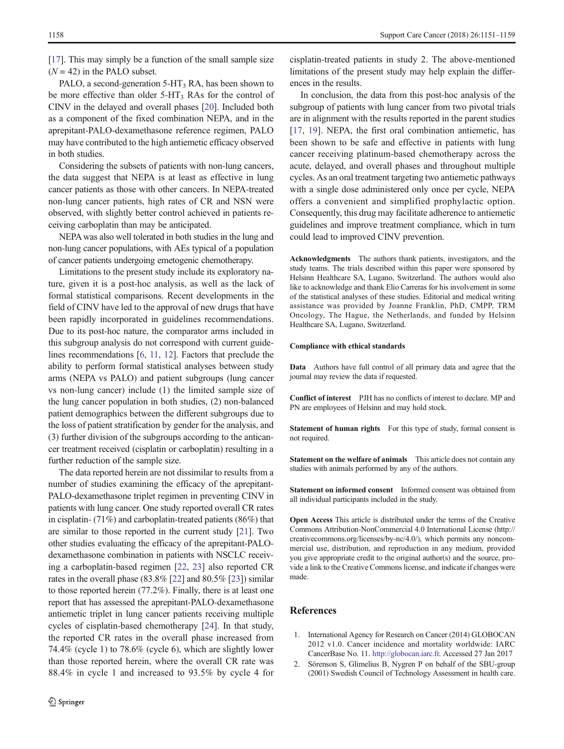<span id="page-7-0"></span>[\[17\]](#page-8-0). This may simply be a function of the small sample size  $(N = 42)$  in the PALO subset.

PALO, a second-generation  $5-HT_3$  RA, has been shown to be more effective than older 5-HT<sub>3</sub> RAs for the control of CINV in the delayed and overall phases [\[20\]](#page-8-0). Included both as a component of the fixed combination NEPA, and in the aprepitant-PALO-dexamethasone reference regimen, PALO may have contributed to the high antiemetic efficacy observed in both studies.

Considering the subsets of patients with non-lung cancers, the data suggest that NEPA is at least as effective in lung cancer patients as those with other cancers. In NEPA-treated non-lung cancer patients, high rates of CR and NSN were observed, with slightly better control achieved in patients receiving carboplatin than may be anticipated.

NEPA was also well tolerated in both studies in the lung and non-lung cancer populations, with AEs typical of a population of cancer patients undergoing emetogenic chemotherapy.

Limitations to the present study include its exploratory nature, given it is a post-hoc analysis, as well as the lack of formal statistical comparisons. Recent developments in the field of CINV have led to the approval of new drugs that have been rapidly incorporated in guidelines recommendations. Due to its post-hoc nature, the comparator arms included in this subgroup analysis do not correspond with current guidelines recommendations [[6](#page-8-0), [11,](#page-8-0) [12\]](#page-8-0). Factors that preclude the ability to perform formal statistical analyses between study arms (NEPA vs PALO) and patient subgroups (lung cancer vs non-lung cancer) include (1) the limited sample size of the lung cancer population in both studies, (2) non-balanced patient demographics between the different subgroups due to the loss of patient stratification by gender for the analysis, and (3) further division of the subgroups according to the anticancer treatment received (cisplatin or carboplatin) resulting in a further reduction of the sample size.

The data reported herein are not dissimilar to results from a number of studies examining the efficacy of the aprepitant-PALO-dexamethasone triplet regimen in preventing CINV in patients with lung cancer. One study reported overall CR rates in cisplatin- (71%) and carboplatin-treated patients (86%) that are similar to those reported in the current study [[21\]](#page-8-0). Two other studies evaluating the efficacy of the aprepitant-PALOdexamethasone combination in patients with NSCLC receiving a carboplatin-based regimen [\[22](#page-8-0), [23](#page-8-0)] also reported CR rates in the overall phase (83.8% [\[22\]](#page-8-0) and 80.5% [\[23\]](#page-8-0)) similar to those reported herein (77.2%). Finally, there is at least one report that has assessed the aprepitant-PALO-dexamethasone antiemetic triplet in lung cancer patients receiving multiple cycles of cisplatin-based chemotherapy [\[24](#page-8-0)]. In that study, the reported CR rates in the overall phase increased from 74.4% (cycle 1) to 78.6% (cycle 6), which are slightly lower than those reported herein, where the overall CR rate was 88.4% in cycle 1 and increased to 93.5% by cycle 4 for

cisplatin-treated patients in study 2. The above-mentioned limitations of the present study may help explain the differences in the results.

In conclusion, the data from this post-hoc analysis of the subgroup of patients with lung cancer from two pivotal trials are in alignment with the results reported in the parent studies [\[17](#page-8-0), [19\]](#page-8-0). NEPA, the first oral combination antiemetic, has been shown to be safe and effective in patients with lung cancer receiving platinum-based chemotherapy across the acute, delayed, and overall phases and throughout multiple cycles. As an oral treatment targeting two antiemetic pathways with a single dose administered only once per cycle, NEPA offers a convenient and simplified prophylactic option. Consequently, this drug may facilitate adherence to antiemetic guidelines and improve treatment compliance, which in turn could lead to improved CINV prevention.

Acknowledgments The authors thank patients, investigators, and the study teams. The trials described within this paper were sponsored by Helsinn Healthcare SA, Lugano, Switzerland. The authors would also like to acknowledge and thank Elio Carreras for his involvement in some of the statistical analyses of these studies. Editorial and medical writing assistance was provided by Joanne Franklin, PhD, CMPP, TRM Oncology, The Hague, the Netherlands, and funded by Helsinn Healthcare SA, Lugano, Switzerland.

#### Compliance with ethical standards

Data Authors have full control of all primary data and agree that the journal may review the data if requested.

Conflict of interest PJH has no conflicts of interest to declare. MP and PN are employees of Helsinn and may hold stock.

Statement of human rights For this type of study, formal consent is not required.

Statement on the welfare of animals This article does not contain any studies with animals performed by any of the authors.

Statement on informed consent Informed consent was obtained from all individual participants included in the study.

Open Access This article is distributed under the terms of the Creative Commons Attribution-NonCommercial 4.0 International License (http:// creativecommons.org/licenses/by-nc/4.0/), which permits any noncommercial use, distribution, and reproduction in any medium, provided you give appropriate credit to the original author(s) and the source, provide a link to the Creative Commons license, and indicate if changes were made.

#### References

- 1. International Agency for Research on Cancer (2014) GLOBOCAN 2012 v1.0. Cancer incidence and mortality worldwide: IARC CancerBase No. 11. [http://globocan.iarc.fr.](http://globocan.iarc.fr) Accessed 27 Jan 2017
- 2. Sörenson S, Glimelius B, Nygren P on behalf of the SBU-group (2001) Swedish Council of Technology Assessment in health care.